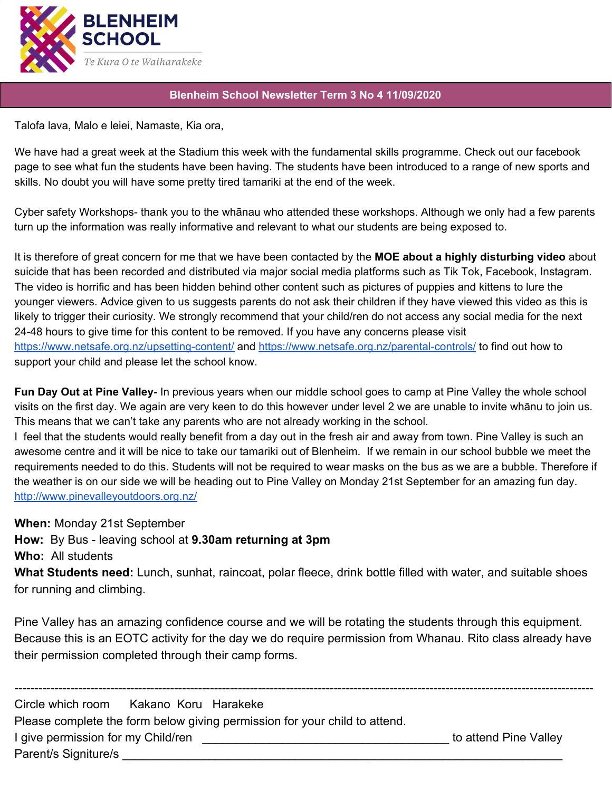

## **Blenheim School Newsletter Term 3 No 4 11/09/2020**

Talofa lava, Malo e leiei, Namaste, Kia ora,

We have had a great week at the Stadium this week with the fundamental skills programme. Check out our facebook page to see what fun the students have been having. The students have been introduced to a range of new sports and skills. No doubt you will have some pretty tired tamariki at the end of the week.

Cyber safety Workshops- thank you to the whānau who attended these workshops. Although we only had a few parents turn up the information was really informative and relevant to what our students are being exposed to.

It is therefore of great concern for me that we have been contacted by the **MOE about a highly disturbing video** about suicide that has been recorded and distributed via major social media platforms such as Tik Tok, Facebook, Instagram. The video is horrific and has been hidden behind other content such as pictures of puppies and kittens to lure the younger viewers. Advice given to us suggests parents do not ask their children if they have viewed this video as this is likely to trigger their curiosity. We strongly recommend that your child/ren do not access any social media for the next 24-48 hours to give time for this content to be removed. If you have any concerns please visit <https://www.netsafe.org.nz/upsetting-content/> and <https://www.netsafe.org.nz/parental-controls/> to find out how to support your child and please let the school know.

**Fun Day Out at Pine Valley-** In previous years when our middle school goes to camp at Pine Valley the whole school visits on the first day. We again are very keen to do this however under level 2 we are unable to invite whānu to join us. This means that we can't take any parents who are not already working in the school.

I feel that the students would really benefit from a day out in the fresh air and away from town. Pine Valley is such an awesome centre and it will be nice to take our tamariki out of Blenheim. If we remain in our school bubble we meet the requirements needed to do this. Students will not be required to wear masks on the bus as we are a bubble. Therefore if the weather is on our side we will be heading out to Pine Valley on Monday 21st September for an amazing fun day. <http://www.pinevalleyoutdoors.org.nz/>

**When:** Monday 21st September

**How:** By Bus - leaving school at **9.30am returning at 3pm**

**Who:** All students

**What Students need:** Lunch, sunhat, raincoat, polar fleece, drink bottle filled with water, and suitable shoes for running and climbing.

Pine Valley has an amazing confidence course and we will be rotating the students through this equipment. Because this is an EOTC activity for the day we do require permission from Whanau. Rito class already have their permission completed through their camp forms.

------------------------------------------------------------------------------------------------------------------------------------------------- Circle which room Kakano Koru Harakeke Please complete the form below giving permission for your child to attend. I give permission for my Child/ren \_\_\_\_\_\_\_\_\_\_\_\_\_\_\_\_\_\_\_\_\_\_\_\_\_\_\_\_\_\_\_\_\_\_\_\_\_ to attend Pine Valley Parent/s Signiture/s